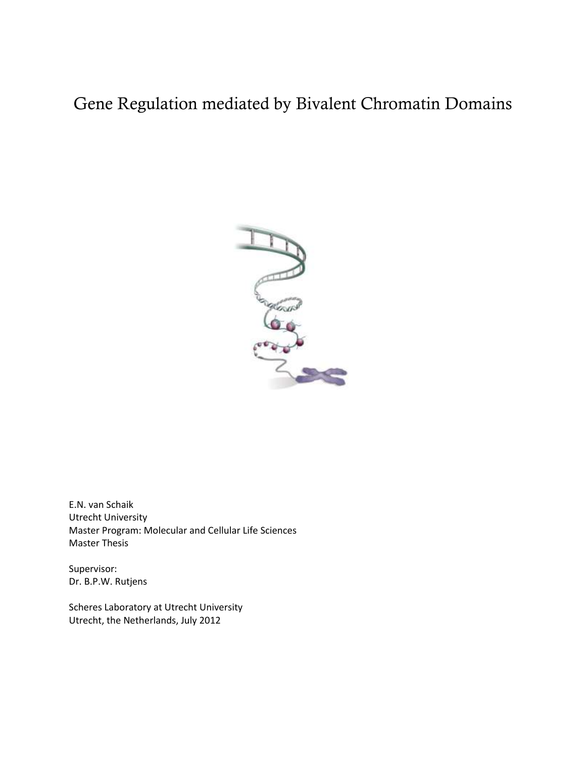# Gene Regulation mediated by Bivalent Chromatin Domains



E.N. van Schaik Utrecht University Master Program: Molecular and Cellular Life Sciences Master Thesis

Supervisor: Dr. B.P.W. Rutjens

Scheres Laboratory at Utrecht University Utrecht, the Netherlands, July 2012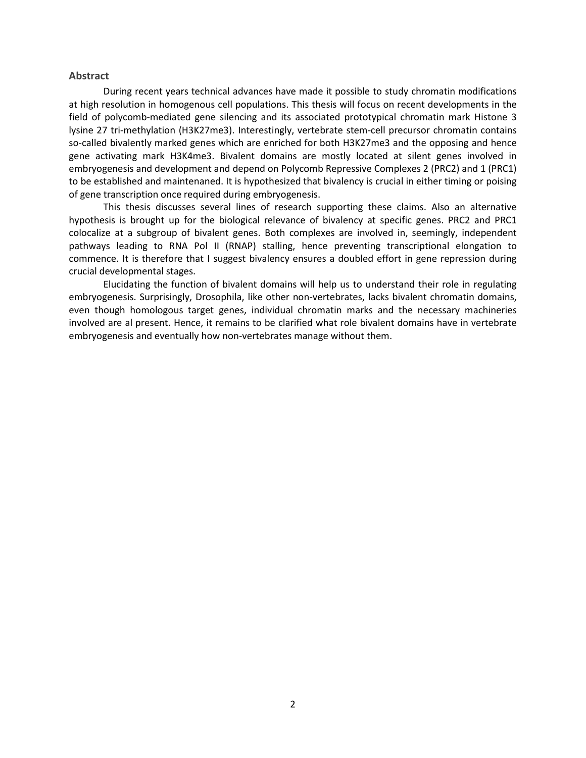#### <span id="page-1-0"></span>**Abstract**

During recent years technical advances have made it possible to study chromatin modifications at high resolution in homogenous cell populations. This thesis will focus on recent developments in the field of polycomb-mediated gene silencing and its associated prototypical chromatin mark Histone 3 lysine 27 tri-methylation (H3K27me3). Interestingly, vertebrate stem-cell precursor chromatin contains so-called bivalently marked genes which are enriched for both H3K27me3 and the opposing and hence gene activating mark H3K4me3. Bivalent domains are mostly located at silent genes involved in embryogenesis and development and depend on Polycomb Repressive Complexes 2 (PRC2) and 1 (PRC1) to be established and maintenaned. It is hypothesized that bivalency is crucial in either timing or poising of gene transcription once required during embryogenesis.

This thesis discusses several lines of research supporting these claims. Also an alternative hypothesis is brought up for the biological relevance of bivalency at specific genes. PRC2 and PRC1 colocalize at a subgroup of bivalent genes. Both complexes are involved in, seemingly, independent pathways leading to RNA Pol II (RNAP) stalling, hence preventing transcriptional elongation to commence. It is therefore that I suggest bivalency ensures a doubled effort in gene repression during crucial developmental stages.

Elucidating the function of bivalent domains will help us to understand their role in regulating embryogenesis. Surprisingly, Drosophila, like other non-vertebrates, lacks bivalent chromatin domains, even though homologous target genes, individual chromatin marks and the necessary machineries involved are al present. Hence, it remains to be clarified what role bivalent domains have in vertebrate embryogenesis and eventually how non-vertebrates manage without them.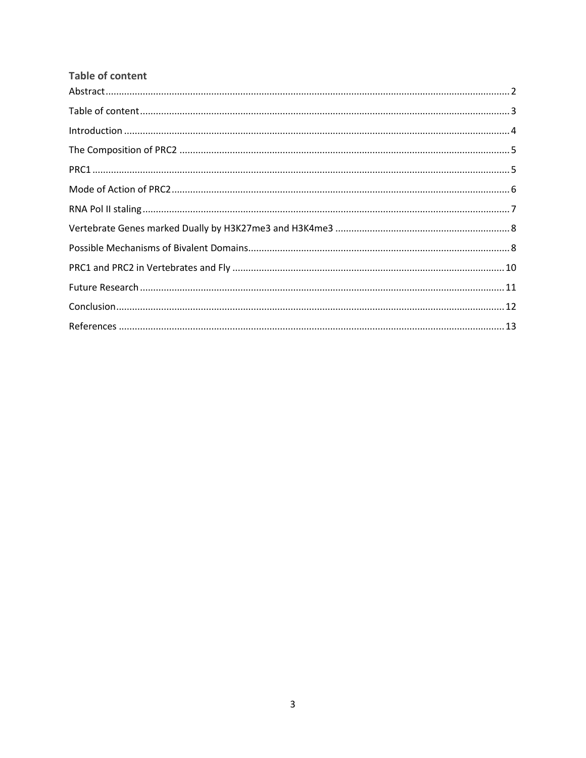<span id="page-2-0"></span>

| <b>Table of content</b> |  |
|-------------------------|--|
|                         |  |
|                         |  |
|                         |  |
|                         |  |
|                         |  |
|                         |  |
|                         |  |
|                         |  |
|                         |  |
|                         |  |
|                         |  |
|                         |  |
|                         |  |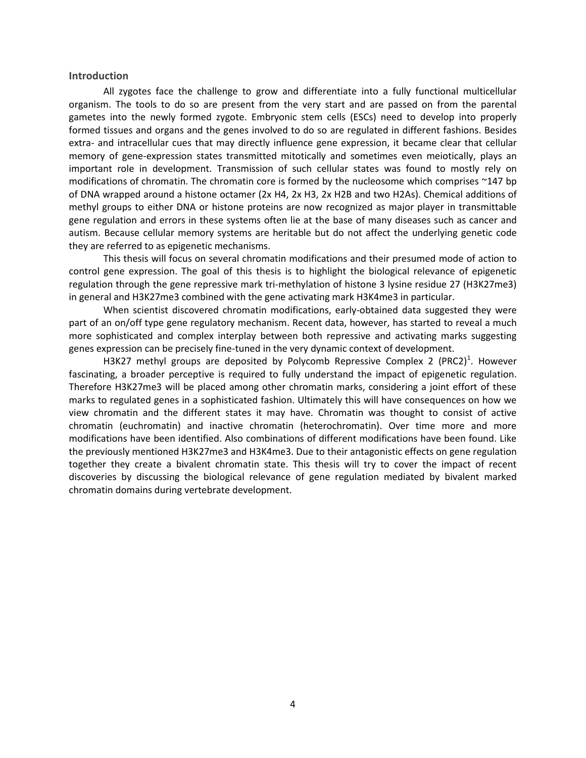#### <span id="page-3-0"></span>**Introduction**

All zygotes face the challenge to grow and differentiate into a fully functional multicellular organism. The tools to do so are present from the very start and are passed on from the parental gametes into the newly formed zygote. Embryonic stem cells (ESCs) need to develop into properly formed tissues and organs and the genes involved to do so are regulated in different fashions. Besides extra- and intracellular cues that may directly influence gene expression, it became clear that cellular memory of gene-expression states transmitted mitotically and sometimes even meiotically, plays an important role in development. Transmission of such cellular states was found to mostly rely on modifications of chromatin. The chromatin core is formed by the nucleosome which comprises ~147 bp of DNA wrapped around a histone octamer (2x H4, 2x H3, 2x H2B and two H2As). Chemical additions of methyl groups to either DNA or histone proteins are now recognized as major player in transmittable gene regulation and errors in these systems often lie at the base of many diseases such as cancer and autism. Because cellular memory systems are heritable but do not affect the underlying genetic code they are referred to as epigenetic mechanisms.

This thesis will focus on several chromatin modifications and their presumed mode of action to control gene expression. The goal of this thesis is to highlight the biological relevance of epigenetic regulation through the gene repressive mark tri-methylation of histone 3 lysine residue 27 (H3K27me3) in general and H3K27me3 combined with the gene activating mark H3K4me3 in particular.

When scientist discovered chromatin modifications, early-obtained data suggested they were part of an on/off type gene regulatory mechanism. Recent data, however, has started to reveal a much more sophisticated and complex interplay between both repressive and activating marks suggesting genes expression can be precisely fine-tuned in the very dynamic context of development.

H3K27 methyl groups are deposited by Polycomb Repressive Complex 2 (PRC2)<sup>1</sup>. However fascinating, a broader perceptive is required to fully understand the impact of epigenetic regulation. Therefore H3K27me3 will be placed among other chromatin marks, considering a joint effort of these marks to regulated genes in a sophisticated fashion. Ultimately this will have consequences on how we view chromatin and the different states it may have. Chromatin was thought to consist of active chromatin (euchromatin) and inactive chromatin (heterochromatin). Over time more and more modifications have been identified. Also combinations of different modifications have been found. Like the previously mentioned H3K27me3 and H3K4me3. Due to their antagonistic effects on gene regulation together they create a bivalent chromatin state. This thesis will try to cover the impact of recent discoveries by discussing the biological relevance of gene regulation mediated by bivalent marked chromatin domains during vertebrate development.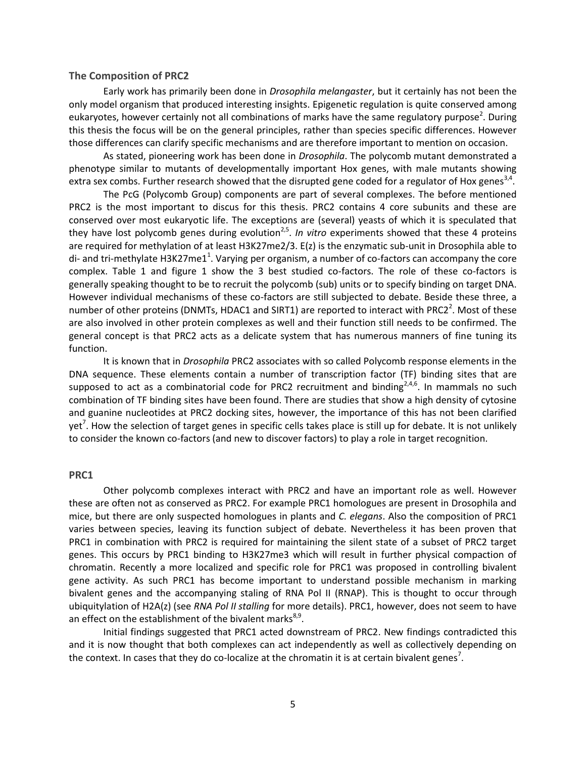#### <span id="page-4-0"></span>**The Composition of PRC2**

Early work has primarily been done in *Drosophila melangaster*, but it certainly has not been the only model organism that produced interesting insights. Epigenetic regulation is quite conserved among eukaryotes, however certainly not all combinations of marks have the same regulatory purpose<sup>2</sup>. During this thesis the focus will be on the general principles, rather than species specific differences. However those differences can clarify specific mechanisms and are therefore important to mention on occasion.

As stated, pioneering work has been done in *Drosophila*. The polycomb mutant demonstrated a phenotype similar to mutants of developmentally important Hox genes, with male mutants showing extra sex combs. Further research showed that the disrupted gene coded for a regulator of Hox genes<sup>3,4</sup>.

The PcG (Polycomb Group) components are part of several complexes. The before mentioned PRC2 is the most important to discus for this thesis. PRC2 contains 4 core subunits and these are conserved over most eukaryotic life. The exceptions are (several) yeasts of which it is speculated that they have lost polycomb genes during evolution<sup>2,5</sup>. In vitro experiments showed that these 4 proteins are required for methylation of at least H3K27me2/3. E(z) is the enzymatic sub-unit in Drosophila able to di- and tri-methylate H3K27me1<sup>1</sup>. Varying per organism, a number of co-factors can accompany the core complex. Table 1 and figure 1 show the 3 best studied co-factors. The role of these co-factors is generally speaking thought to be to recruit the polycomb (sub) units or to specify binding on target DNA. However individual mechanisms of these co-factors are still subjected to debate. Beside these three, a number of other proteins (DNMTs, HDAC1 and SIRT1) are reported to interact with PRC2<sup>2</sup>. Most of these are also involved in other protein complexes as well and their function still needs to be confirmed. The general concept is that PRC2 acts as a delicate system that has numerous manners of fine tuning its function.

It is known that in *Drosophila* PRC2 associates with so called Polycomb response elements in the DNA sequence. These elements contain a number of transcription factor (TF) binding sites that are supposed to act as a combinatorial code for PRC2 recruitment and binding $2,4,6$ . In mammals no such combination of TF binding sites have been found. There are studies that show a high density of cytosine and guanine nucleotides at PRC2 docking sites, however, the importance of this has not been clarified yet<sup>7</sup>. How the selection of target genes in specific cells takes place is still up for debate. It is not unlikely to consider the known co-factors (and new to discover factors) to play a role in target recognition.

#### <span id="page-4-1"></span>**PRC1**

Other polycomb complexes interact with PRC2 and have an important role as well. However these are often not as conserved as PRC2. For example PRC1 homologues are present in Drosophila and mice, but there are only suspected homologues in plants and *C. elegans*. Also the composition of PRC1 varies between species, leaving its function subject of debate. Nevertheless it has been proven that PRC1 in combination with PRC2 is required for maintaining the silent state of a subset of PRC2 target genes. This occurs by PRC1 binding to H3K27me3 which will result in further physical compaction of chromatin. Recently a more localized and specific role for PRC1 was proposed in controlling bivalent gene activity. As such PRC1 has become important to understand possible mechanism in marking bivalent genes and the accompanying staling of RNA Pol II (RNAP). This is thought to occur through ubiquitylation of H2A(z) (see *RNA Pol II stalling* for more details). PRC1, however, does not seem to have an effect on the establishment of the bivalent marks<sup>8,9</sup>.

Initial findings suggested that PRC1 acted downstream of PRC2. New findings contradicted this and it is now thought that both complexes can act independently as well as collectively depending on the context. In cases that they do co-localize at the chromatin it is at certain bivalent genes<sup>7</sup>.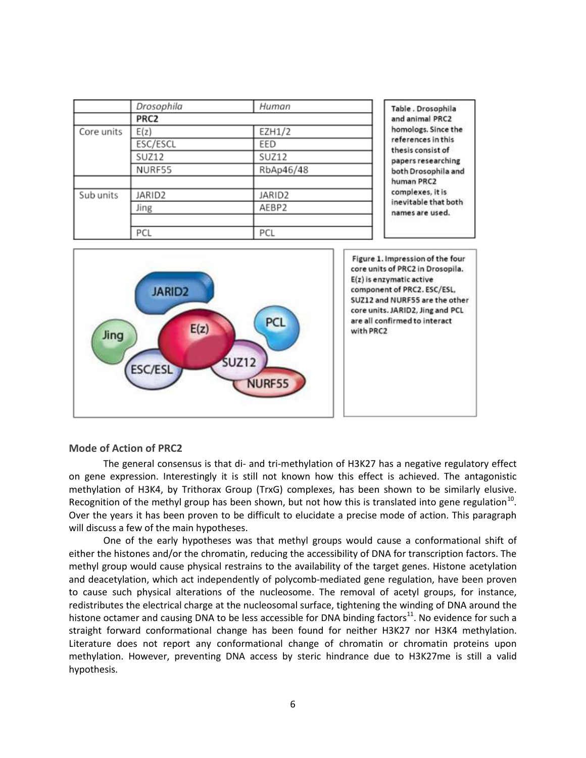|            | Drosophila | Human     | Table . Drosophila                      |
|------------|------------|-----------|-----------------------------------------|
|            | PRC2       |           | and animal PRC2                         |
| Core units | E(z)       | EZH1/2    | homologs. Since the                     |
|            | ESC/ESCL   | EED       | references in this<br>thesis consist of |
|            | SUZ12      | SUZ12     | papers researching                      |
|            | NURF55     | RbAp46/48 | both Drosophila and                     |
|            |            |           | human PRC2                              |
| Sub units  | JARID2     | JARID2    | complexes, it is                        |
|            | Jing       | AEBP2     | inevitable that both<br>names are used. |
|            |            |           |                                         |
|            | PCL        | PCL       |                                         |



### <span id="page-5-0"></span>**Mode of Action of PRC2**

The general consensus is that di- and tri-methylation of H3K27 has a negative regulatory effect on gene expression. Interestingly it is still not known how this effect is achieved. The antagonistic methylation of H3K4, by Trithorax Group (TrxG) complexes, has been shown to be similarly elusive. Recognition of the methyl group has been shown, but not how this is translated into gene regulation<sup>10</sup>. Over the years it has been proven to be difficult to elucidate a precise mode of action. This paragraph will discuss a few of the main hypotheses.

One of the early hypotheses was that methyl groups would cause a conformational shift of either the histones and/or the chromatin, reducing the accessibility of DNA for transcription factors. The methyl group would cause physical restrains to the availability of the target genes. Histone acetylation and deacetylation, which act independently of polycomb-mediated gene regulation, have been proven to cause such physical alterations of the nucleosome. The removal of acetyl groups, for instance, redistributes the electrical charge at the nucleosomal surface, tightening the winding of DNA around the histone octamer and causing DNA to be less accessible for DNA binding factors $^{11}$ . No evidence for such a straight forward conformational change has been found for neither H3K27 nor H3K4 methylation. Literature does not report any conformational change of chromatin or chromatin proteins upon methylation. However, preventing DNA access by steric hindrance due to H3K27me is still a valid hypothesis.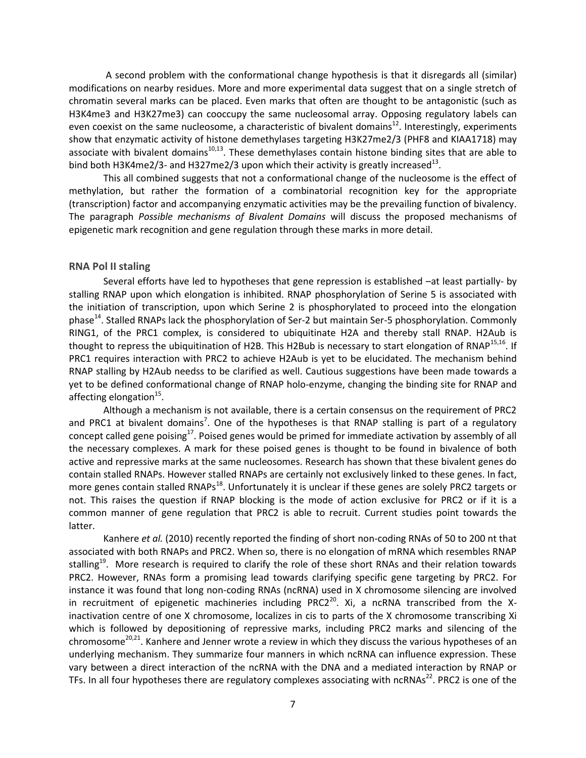A second problem with the conformational change hypothesis is that it disregards all (similar) modifications on nearby residues. More and more experimental data suggest that on a single stretch of chromatin several marks can be placed. Even marks that often are thought to be antagonistic (such as H3K4me3 and H3K27me3) can cooccupy the same nucleosomal array. Opposing regulatory labels can even coexist on the same nucleosome, a characteristic of bivalent domains<sup>12</sup>. Interestingly, experiments show that enzymatic activity of histone demethylases targeting H3K27me2/3 (PHF8 and KIAA1718) may associate with bivalent domains $10,13$ . These demethylases contain histone binding sites that are able to bind both H3K4me2/3- and H327me2/3 upon which their activity is greatly increased<sup>13</sup>.

This all combined suggests that not a conformational change of the nucleosome is the effect of methylation, but rather the formation of a combinatorial recognition key for the appropriate (transcription) factor and accompanying enzymatic activities may be the prevailing function of bivalency. The paragraph *Possible mechanisms of Bivalent Domains* will discuss the proposed mechanisms of epigenetic mark recognition and gene regulation through these marks in more detail.

#### <span id="page-6-0"></span>**RNA Pol II staling**

Several efforts have led to hypotheses that gene repression is established –at least partially- by stalling RNAP upon which elongation is inhibited. RNAP phosphorylation of Serine 5 is associated with the initiation of transcription, upon which Serine 2 is phosphorylated to proceed into the elongation phase<sup>14</sup>. Stalled RNAPs lack the phosphorylation of Ser-2 but maintain Ser-5 phosphorylation. Commonly RING1, of the PRC1 complex, is considered to ubiquitinate H2A and thereby stall RNAP. H2Aub is thought to repress the ubiquitination of H2B. This H2Bub is necessary to start elongation of RNAP<sup>15,16</sup>. If PRC1 requires interaction with PRC2 to achieve H2Aub is yet to be elucidated. The mechanism behind RNAP stalling by H2Aub needss to be clarified as well. Cautious suggestions have been made towards a yet to be defined conformational change of RNAP holo-enzyme, changing the binding site for RNAP and affecting elongation<sup>15</sup>.

Although a mechanism is not available, there is a certain consensus on the requirement of PRC2 and PRC1 at bivalent domains<sup>7</sup>. One of the hypotheses is that RNAP stalling is part of a regulatory concept called gene poising $^{17}$ . Poised genes would be primed for immediate activation by assembly of all the necessary complexes. A mark for these poised genes is thought to be found in bivalence of both active and repressive marks at the same nucleosomes. Research has shown that these bivalent genes do contain stalled RNAPs. However stalled RNAPs are certainly not exclusively linked to these genes. In fact, more genes contain stalled RNAPs<sup>18</sup>. Unfortunately it is unclear if these genes are solely PRC2 targets or not. This raises the question if RNAP blocking is the mode of action exclusive for PRC2 or if it is a common manner of gene regulation that PRC2 is able to recruit. Current studies point towards the latter.

Kanhere *et al.* (2010) recently reported the finding of short non-coding RNAs of 50 to 200 nt that associated with both RNAPs and PRC2. When so, there is no elongation of mRNA which resembles RNAP stalling<sup>19</sup>. More research is required to clarify the role of these short RNAs and their relation towards PRC2. However, RNAs form a promising lead towards clarifying specific gene targeting by PRC2. For instance it was found that long non-coding RNAs (ncRNA) used in X chromosome silencing are involved in recruitment of epigenetic machineries including PRC2<sup>20</sup>. Xi, a ncRNA transcribed from the Xinactivation centre of one X chromosome, localizes in cis to parts of the X chromosome transcribing Xi which is followed by depositioning of repressive marks, including PRC2 marks and silencing of the chromosome<sup>20,21</sup>. Kanhere and Jenner wrote a review in which they discuss the various hypotheses of an underlying mechanism. They summarize four manners in which ncRNA can influence expression. These vary between a direct interaction of the ncRNA with the DNA and a mediated interaction by RNAP or TFs. In all four hypotheses there are regulatory complexes associating with ncRNAs<sup>22</sup>. PRC2 is one of the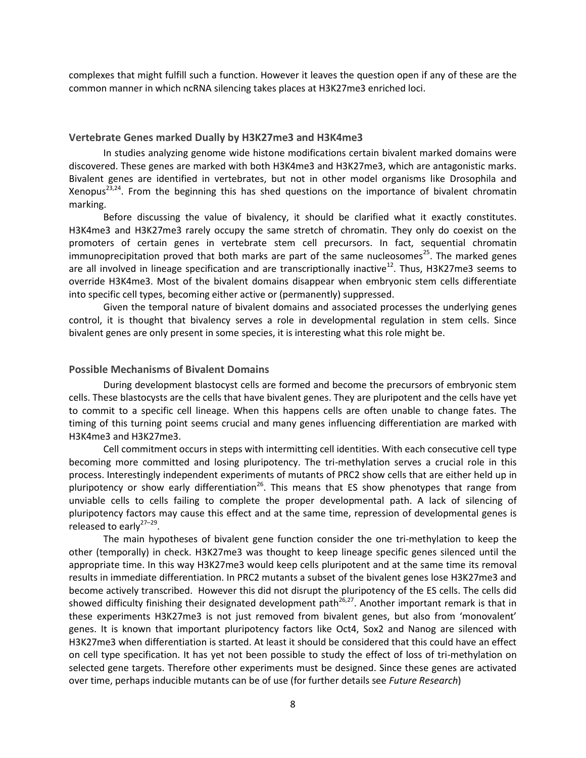complexes that might fulfill such a function. However it leaves the question open if any of these are the common manner in which ncRNA silencing takes places at H3K27me3 enriched loci.

#### <span id="page-7-0"></span>**Vertebrate Genes marked Dually by H3K27me3 and H3K4me3**

In studies analyzing genome wide histone modifications certain bivalent marked domains were discovered. These genes are marked with both H3K4me3 and H3K27me3, which are antagonistic marks. Bivalent genes are identified in vertebrates, but not in other model organisms like Drosophila and Xenopus<sup>23,24</sup>. From the beginning this has shed questions on the importance of bivalent chromatin marking.

Before discussing the value of bivalency, it should be clarified what it exactly constitutes. H3K4me3 and H3K27me3 rarely occupy the same stretch of chromatin. They only do coexist on the promoters of certain genes in vertebrate stem cell precursors. In fact, sequential chromatin immunoprecipitation proved that both marks are part of the same nucleosomes<sup>25</sup>. The marked genes are all involved in lineage specification and are transcriptionally inactive<sup>12</sup>. Thus, H3K27me3 seems to override H3K4me3. Most of the bivalent domains disappear when embryonic stem cells differentiate into specific cell types, becoming either active or (permanently) suppressed.

Given the temporal nature of bivalent domains and associated processes the underlying genes control, it is thought that bivalency serves a role in developmental regulation in stem cells. Since bivalent genes are only present in some species, it is interesting what this role might be.

## <span id="page-7-1"></span>**Possible Mechanisms of Bivalent Domains**

During development blastocyst cells are formed and become the precursors of embryonic stem cells. These blastocysts are the cells that have bivalent genes. They are pluripotent and the cells have yet to commit to a specific cell lineage. When this happens cells are often unable to change fates. The timing of this turning point seems crucial and many genes influencing differentiation are marked with H3K4me3 and H3K27me3.

Cell commitment occurs in steps with intermitting cell identities. With each consecutive cell type becoming more committed and losing pluripotency. The tri-methylation serves a crucial role in this process. Interestingly independent experiments of mutants of PRC2 show cells that are either held up in pluripotency or show early differentiation<sup>26</sup>. This means that ES show phenotypes that range from unviable cells to cells failing to complete the proper developmental path. A lack of silencing of pluripotency factors may cause this effect and at the same time, repression of developmental genes is released to early<sup>27-29</sup>.

The main hypotheses of bivalent gene function consider the one tri-methylation to keep the other (temporally) in check. H3K27me3 was thought to keep lineage specific genes silenced until the appropriate time. In this way H3K27me3 would keep cells pluripotent and at the same time its removal results in immediate differentiation. In PRC2 mutants a subset of the bivalent genes lose H3K27me3 and become actively transcribed. However this did not disrupt the pluripotency of the ES cells. The cells did showed difficulty finishing their designated development path<sup>26,27</sup>. Another important remark is that in these experiments H3K27me3 is not just removed from bivalent genes, but also from 'monovalent' genes. It is known that important pluripotency factors like Oct4, Sox2 and Nanog are silenced with H3K27me3 when differentiation is started. At least it should be considered that this could have an effect on cell type specification. It has yet not been possible to study the effect of loss of tri-methylation on selected gene targets. Therefore other experiments must be designed. Since these genes are activated over time, perhaps inducible mutants can be of use (for further details see *Future Research*)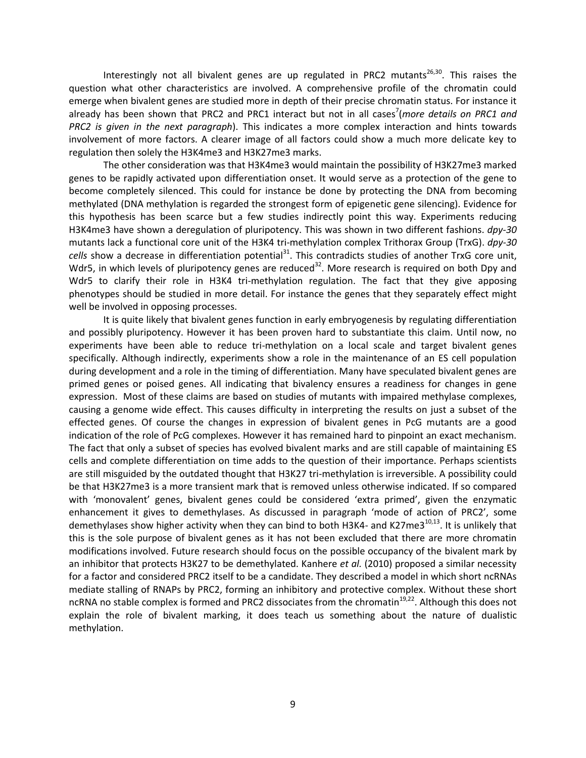Interestingly not all bivalent genes are up regulated in PRC2 mutants<sup>26,30</sup>. This raises the question what other characteristics are involved. A comprehensive profile of the chromatin could emerge when bivalent genes are studied more in depth of their precise chromatin status. For instance it already has been shown that PRC2 and PRC1 interact but not in all cases<sup>7</sup>(more details on PRC1 and *PRC2 is given in the next paragraph*). This indicates a more complex interaction and hints towards involvement of more factors. A clearer image of all factors could show a much more delicate key to regulation then solely the H3K4me3 and H3K27me3 marks.

The other consideration was that H3K4me3 would maintain the possibility of H3K27me3 marked genes to be rapidly activated upon differentiation onset. It would serve as a protection of the gene to become completely silenced. This could for instance be done by protecting the DNA from becoming methylated (DNA methylation is regarded the strongest form of epigenetic gene silencing). Evidence for this hypothesis has been scarce but a few studies indirectly point this way. Experiments reducing H3K4me3 have shown a deregulation of pluripotency. This was shown in two different fashions. *dpy-30*  mutants lack a functional core unit of the H3K4 tri-methylation complex Trithorax Group (TrxG). *dpy-30 cells* show a decrease in differentiation potential<sup>31</sup>. This contradicts studies of another TrxG core unit, Wdr5, in which levels of pluripotency genes are reduced<sup>32</sup>. More research is required on both Dpy and Wdr5 to clarify their role in H3K4 tri-methylation regulation. The fact that they give apposing phenotypes should be studied in more detail. For instance the genes that they separately effect might well be involved in opposing processes.

It is quite likely that bivalent genes function in early embryogenesis by regulating differentiation and possibly pluripotency. However it has been proven hard to substantiate this claim. Until now, no experiments have been able to reduce tri-methylation on a local scale and target bivalent genes specifically. Although indirectly, experiments show a role in the maintenance of an ES cell population during development and a role in the timing of differentiation. Many have speculated bivalent genes are primed genes or poised genes. All indicating that bivalency ensures a readiness for changes in gene expression. Most of these claims are based on studies of mutants with impaired methylase complexes, causing a genome wide effect. This causes difficulty in interpreting the results on just a subset of the effected genes. Of course the changes in expression of bivalent genes in PcG mutants are a good indication of the role of PcG complexes. However it has remained hard to pinpoint an exact mechanism. The fact that only a subset of species has evolved bivalent marks and are still capable of maintaining ES cells and complete differentiation on time adds to the question of their importance. Perhaps scientists are still misguided by the outdated thought that H3K27 tri-methylation is irreversible. A possibility could be that H3K27me3 is a more transient mark that is removed unless otherwise indicated. If so compared with 'monovalent' genes, bivalent genes could be considered 'extra primed', given the enzymatic enhancement it gives to demethylases. As discussed in paragraph 'mode of action of PRC2', some demethylases show higher activity when they can bind to both H3K4- and K27me3<sup>10,13</sup>. It is unlikely that this is the sole purpose of bivalent genes as it has not been excluded that there are more chromatin modifications involved. Future research should focus on the possible occupancy of the bivalent mark by an inhibitor that protects H3K27 to be demethylated. Kanhere *et al.* (2010) proposed a similar necessity for a factor and considered PRC2 itself to be a candidate. They described a model in which short ncRNAs mediate stalling of RNAPs by PRC2, forming an inhibitory and protective complex. Without these short ncRNA no stable complex is formed and PRC2 dissociates from the chromatin<sup>19,22</sup>. Although this does not explain the role of bivalent marking, it does teach us something about the nature of dualistic methylation.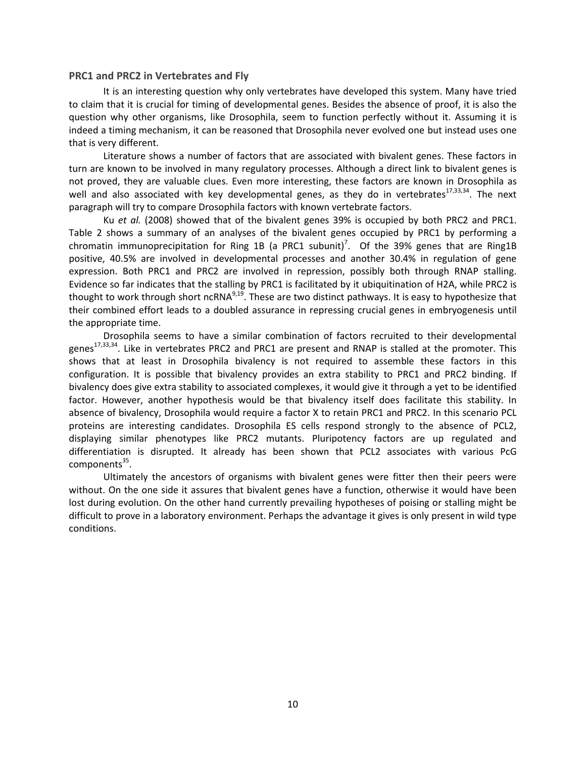#### <span id="page-9-0"></span>**PRC1 and PRC2 in Vertebrates and Fly**

It is an interesting question why only vertebrates have developed this system. Many have tried to claim that it is crucial for timing of developmental genes. Besides the absence of proof, it is also the question why other organisms, like Drosophila, seem to function perfectly without it. Assuming it is indeed a timing mechanism, it can be reasoned that Drosophila never evolved one but instead uses one that is very different.

Literature shows a number of factors that are associated with bivalent genes. These factors in turn are known to be involved in many regulatory processes. Although a direct link to bivalent genes is not proved, they are valuable clues. Even more interesting, these factors are known in Drosophila as well and also associated with key developmental genes, as they do in vertebrates $17,33,34$ . The next paragraph will try to compare Drosophila factors with known vertebrate factors.

Ku *et al.* (2008) showed that of the bivalent genes 39% is occupied by both PRC2 and PRC1. Table 2 shows a summary of an analyses of the bivalent genes occupied by PRC1 by performing a chromatin immunoprecipitation for Ring 1B (a PRC1 subunit)<sup>7</sup>. Of the 39% genes that are Ring1B positive, 40.5% are involved in developmental processes and another 30.4% in regulation of gene expression. Both PRC1 and PRC2 are involved in repression, possibly both through RNAP stalling. Evidence so far indicates that the stalling by PRC1 is facilitated by it ubiquitination of H2A, while PRC2 is thought to work through short ncRNA $^{9,19}$ . These are two distinct pathways. It is easy to hypothesize that their combined effort leads to a doubled assurance in repressing crucial genes in embryogenesis until the appropriate time.

Drosophila seems to have a similar combination of factors recruited to their developmental genes<sup>17,33,34</sup>. Like in vertebrates PRC2 and PRC1 are present and RNAP is stalled at the promoter. This shows that at least in Drosophila bivalency is not required to assemble these factors in this configuration. It is possible that bivalency provides an extra stability to PRC1 and PRC2 binding. If bivalency does give extra stability to associated complexes, it would give it through a yet to be identified factor. However, another hypothesis would be that bivalency itself does facilitate this stability. In absence of bivalency, Drosophila would require a factor X to retain PRC1 and PRC2. In this scenario PCL proteins are interesting candidates. Drosophila ES cells respond strongly to the absence of PCL2, displaying similar phenotypes like PRC2 mutants. Pluripotency factors are up regulated and differentiation is disrupted. It already has been shown that PCL2 associates with various PcG components<sup>35</sup>.

Ultimately the ancestors of organisms with bivalent genes were fitter then their peers were without. On the one side it assures that bivalent genes have a function, otherwise it would have been lost during evolution. On the other hand currently prevailing hypotheses of poising or stalling might be difficult to prove in a laboratory environment. Perhaps the advantage it gives is only present in wild type conditions.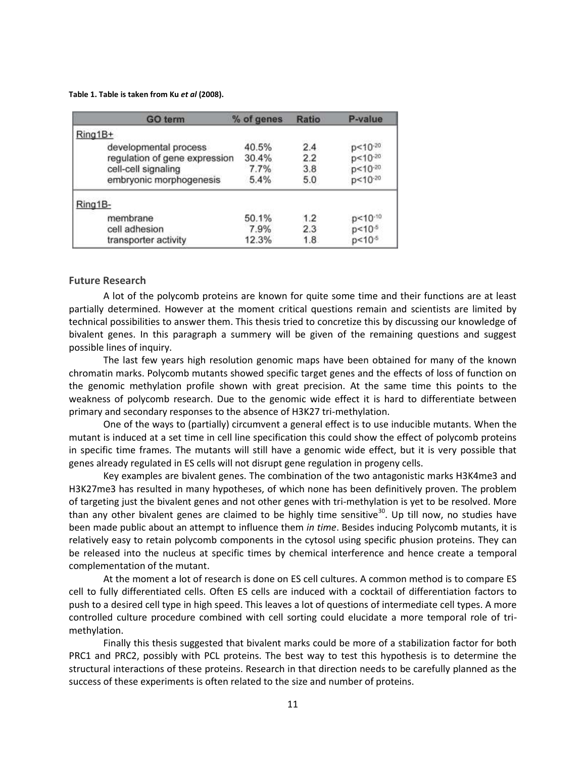**Table 1. Table is taken from Ku** *et al* **(2008).**

|         | <b>GO</b> term                | % of genes | Ratio | P-value            |
|---------|-------------------------------|------------|-------|--------------------|
| Ring1B+ |                               |            |       |                    |
|         | developmental process         | 40.5%      | 2.4   |                    |
|         | regulation of gene expression | 30.4%      | 2.2   | p<10-20<br>p<10-20 |
|         | cell-cell signaling           | 7.7%       | 3.8   | p<10-20<br>p<10-20 |
|         | embryonic morphogenesis       | 5.4%       | 5.0   |                    |
| Ring1B- |                               |            |       |                    |
|         | membrane                      | 50.1%      | 1.2   | p<10-10            |
|         | cell adhesion                 | 7.9%       | 2.3   | $p < 10^{-5}$      |
|         | transporter activity          | 12.3%      | 1.8   | $p < 10^{-6}$      |

#### <span id="page-10-0"></span>**Future Research**

A lot of the polycomb proteins are known for quite some time and their functions are at least partially determined. However at the moment critical questions remain and scientists are limited by technical possibilities to answer them. This thesis tried to concretize this by discussing our knowledge of bivalent genes. In this paragraph a summery will be given of the remaining questions and suggest possible lines of inquiry.

The last few years high resolution genomic maps have been obtained for many of the known chromatin marks. Polycomb mutants showed specific target genes and the effects of loss of function on the genomic methylation profile shown with great precision. At the same time this points to the weakness of polycomb research. Due to the genomic wide effect it is hard to differentiate between primary and secondary responses to the absence of H3K27 tri-methylation.

One of the ways to (partially) circumvent a general effect is to use inducible mutants. When the mutant is induced at a set time in cell line specification this could show the effect of polycomb proteins in specific time frames. The mutants will still have a genomic wide effect, but it is very possible that genes already regulated in ES cells will not disrupt gene regulation in progeny cells.

Key examples are bivalent genes. The combination of the two antagonistic marks H3K4me3 and H3K27me3 has resulted in many hypotheses, of which none has been definitively proven. The problem of targeting just the bivalent genes and not other genes with tri-methylation is yet to be resolved. More than any other bivalent genes are claimed to be highly time sensitive<sup>30</sup>. Up till now, no studies have been made public about an attempt to influence them *in time*. Besides inducing Polycomb mutants, it is relatively easy to retain polycomb components in the cytosol using specific phusion proteins. They can be released into the nucleus at specific times by chemical interference and hence create a temporal complementation of the mutant.

At the moment a lot of research is done on ES cell cultures. A common method is to compare ES cell to fully differentiated cells. Often ES cells are induced with a cocktail of differentiation factors to push to a desired cell type in high speed. This leaves a lot of questions of intermediate cell types. A more controlled culture procedure combined with cell sorting could elucidate a more temporal role of trimethylation.

Finally this thesis suggested that bivalent marks could be more of a stabilization factor for both PRC1 and PRC2, possibly with PCL proteins. The best way to test this hypothesis is to determine the structural interactions of these proteins. Research in that direction needs to be carefully planned as the success of these experiments is often related to the size and number of proteins.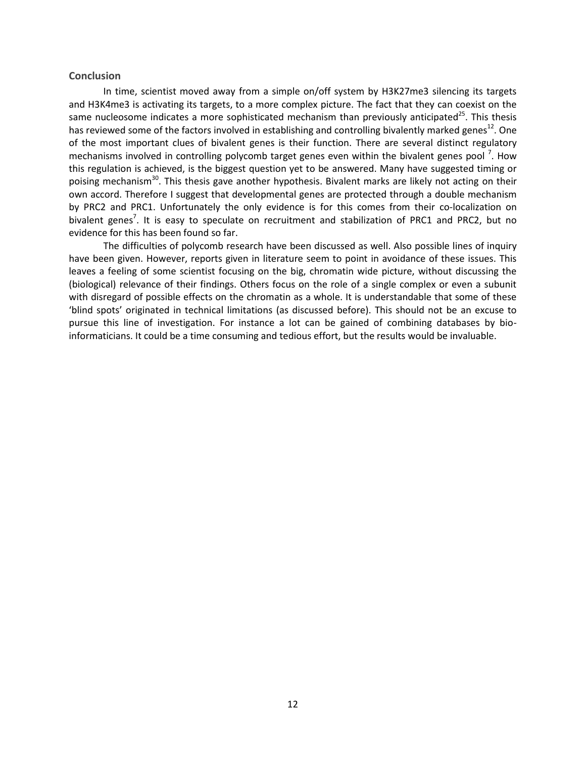#### <span id="page-11-0"></span>**Conclusion**

In time, scientist moved away from a simple on/off system by H3K27me3 silencing its targets and H3K4me3 is activating its targets, to a more complex picture. The fact that they can coexist on the same nucleosome indicates a more sophisticated mechanism than previously anticipated<sup>25</sup>. This thesis has reviewed some of the factors involved in establishing and controlling bivalently marked genes<sup>12</sup>. One of the most important clues of bivalent genes is their function. There are several distinct regulatory mechanisms involved in controlling polycomb target genes even within the bivalent genes pool<sup>7</sup>. How this regulation is achieved, is the biggest question yet to be answered. Many have suggested timing or poising mechanism<sup>30</sup>. This thesis gave another hypothesis. Bivalent marks are likely not acting on their own accord. Therefore I suggest that developmental genes are protected through a double mechanism by PRC2 and PRC1. Unfortunately the only evidence is for this comes from their co-localization on bivalent genes<sup>7</sup>. It is easy to speculate on recruitment and stabilization of PRC1 and PRC2, but no evidence for this has been found so far.

The difficulties of polycomb research have been discussed as well. Also possible lines of inquiry have been given. However, reports given in literature seem to point in avoidance of these issues. This leaves a feeling of some scientist focusing on the big, chromatin wide picture, without discussing the (biological) relevance of their findings. Others focus on the role of a single complex or even a subunit with disregard of possible effects on the chromatin as a whole. It is understandable that some of these 'blind spots' originated in technical limitations (as discussed before). This should not be an excuse to pursue this line of investigation. For instance a lot can be gained of combining databases by bioinformaticians. It could be a time consuming and tedious effort, but the results would be invaluable.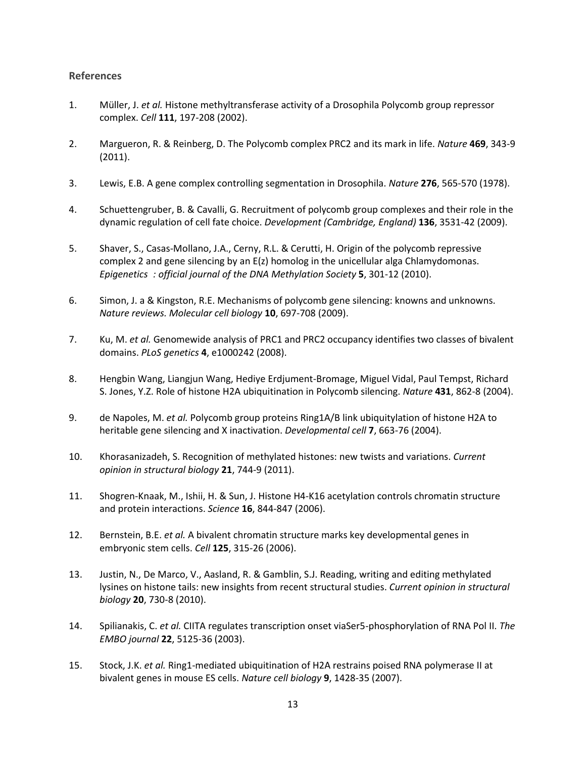# <span id="page-12-0"></span>**References**

- 1. Müller, J. *et al.* Histone methyltransferase activity of a Drosophila Polycomb group repressor complex. *Cell* **111**, 197-208 (2002).
- 2. Margueron, R. & Reinberg, D. The Polycomb complex PRC2 and its mark in life. *Nature* **469**, 343-9 (2011).
- 3. Lewis, E.B. A gene complex controlling segmentation in Drosophila. *Nature* **276**, 565-570 (1978).
- 4. Schuettengruber, B. & Cavalli, G. Recruitment of polycomb group complexes and their role in the dynamic regulation of cell fate choice. *Development (Cambridge, England)* **136**, 3531-42 (2009).
- 5. Shaver, S., Casas-Mollano, J.A., Cerny, R.L. & Cerutti, H. Origin of the polycomb repressive complex 2 and gene silencing by an E(z) homolog in the unicellular alga Chlamydomonas. *Epigenetics : official journal of the DNA Methylation Society* **5**, 301-12 (2010).
- 6. Simon, J. a & Kingston, R.E. Mechanisms of polycomb gene silencing: knowns and unknowns. *Nature reviews. Molecular cell biology* **10**, 697-708 (2009).
- 7. Ku, M. *et al.* Genomewide analysis of PRC1 and PRC2 occupancy identifies two classes of bivalent domains. *PLoS genetics* **4**, e1000242 (2008).
- 8. Hengbin Wang, Liangjun Wang, Hediye Erdjument-Bromage, Miguel Vidal, Paul Tempst, Richard S. Jones, Y.Z. Role of histone H2A ubiquitination in Polycomb silencing. *Nature* **431**, 862-8 (2004).
- 9. de Napoles, M. *et al.* Polycomb group proteins Ring1A/B link ubiquitylation of histone H2A to heritable gene silencing and X inactivation. *Developmental cell* **7**, 663-76 (2004).
- 10. Khorasanizadeh, S. Recognition of methylated histones: new twists and variations. *Current opinion in structural biology* **21**, 744-9 (2011).
- 11. Shogren-Knaak, M., Ishii, H. & Sun, J. Histone H4-K16 acetylation controls chromatin structure and protein interactions. *Science* **16**, 844-847 (2006).
- 12. Bernstein, B.E. *et al.* A bivalent chromatin structure marks key developmental genes in embryonic stem cells. *Cell* **125**, 315-26 (2006).
- 13. Justin, N., De Marco, V., Aasland, R. & Gamblin, S.J. Reading, writing and editing methylated lysines on histone tails: new insights from recent structural studies. *Current opinion in structural biology* **20**, 730-8 (2010).
- 14. Spilianakis, C. *et al.* CIITA regulates transcription onset viaSer5-phosphorylation of RNA Pol II. *The EMBO journal* **22**, 5125-36 (2003).
- 15. Stock, J.K. *et al.* Ring1-mediated ubiquitination of H2A restrains poised RNA polymerase II at bivalent genes in mouse ES cells. *Nature cell biology* **9**, 1428-35 (2007).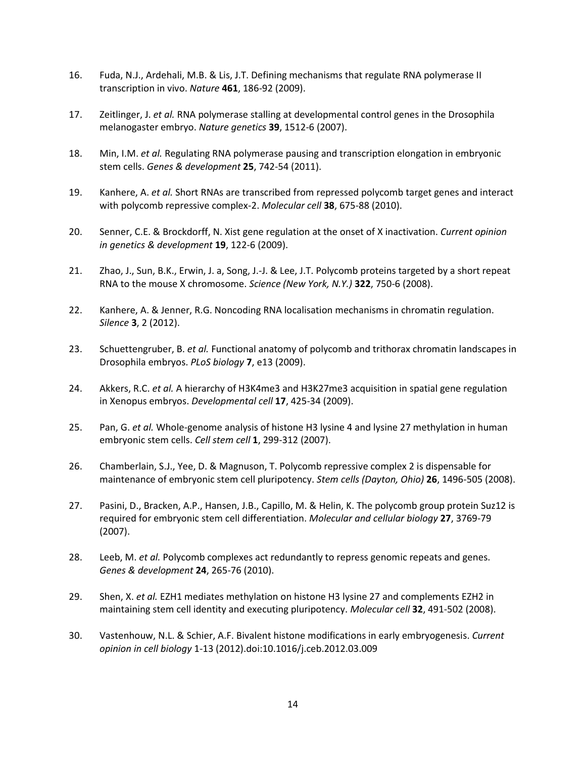- 16. Fuda, N.J., Ardehali, M.B. & Lis, J.T. Defining mechanisms that regulate RNA polymerase II transcription in vivo. *Nature* **461**, 186-92 (2009).
- 17. Zeitlinger, J. *et al.* RNA polymerase stalling at developmental control genes in the Drosophila melanogaster embryo. *Nature genetics* **39**, 1512-6 (2007).
- 18. Min, I.M. *et al.* Regulating RNA polymerase pausing and transcription elongation in embryonic stem cells. *Genes & development* **25**, 742-54 (2011).
- 19. Kanhere, A. *et al.* Short RNAs are transcribed from repressed polycomb target genes and interact with polycomb repressive complex-2. *Molecular cell* **38**, 675-88 (2010).
- 20. Senner, C.E. & Brockdorff, N. Xist gene regulation at the onset of X inactivation. *Current opinion in genetics & development* **19**, 122-6 (2009).
- 21. Zhao, J., Sun, B.K., Erwin, J. a, Song, J.-J. & Lee, J.T. Polycomb proteins targeted by a short repeat RNA to the mouse X chromosome. *Science (New York, N.Y.)* **322**, 750-6 (2008).
- 22. Kanhere, A. & Jenner, R.G. Noncoding RNA localisation mechanisms in chromatin regulation. *Silence* **3**, 2 (2012).
- 23. Schuettengruber, B. *et al.* Functional anatomy of polycomb and trithorax chromatin landscapes in Drosophila embryos. *PLoS biology* **7**, e13 (2009).
- 24. Akkers, R.C. *et al.* A hierarchy of H3K4me3 and H3K27me3 acquisition in spatial gene regulation in Xenopus embryos. *Developmental cell* **17**, 425-34 (2009).
- 25. Pan, G. *et al.* Whole-genome analysis of histone H3 lysine 4 and lysine 27 methylation in human embryonic stem cells. *Cell stem cell* **1**, 299-312 (2007).
- 26. Chamberlain, S.J., Yee, D. & Magnuson, T. Polycomb repressive complex 2 is dispensable for maintenance of embryonic stem cell pluripotency. *Stem cells (Dayton, Ohio)* **26**, 1496-505 (2008).
- 27. Pasini, D., Bracken, A.P., Hansen, J.B., Capillo, M. & Helin, K. The polycomb group protein Suz12 is required for embryonic stem cell differentiation. *Molecular and cellular biology* **27**, 3769-79 (2007).
- 28. Leeb, M. *et al.* Polycomb complexes act redundantly to repress genomic repeats and genes. *Genes & development* **24**, 265-76 (2010).
- 29. Shen, X. *et al.* EZH1 mediates methylation on histone H3 lysine 27 and complements EZH2 in maintaining stem cell identity and executing pluripotency. *Molecular cell* **32**, 491-502 (2008).
- 30. Vastenhouw, N.L. & Schier, A.F. Bivalent histone modifications in early embryogenesis. *Current opinion in cell biology* 1-13 (2012).doi:10.1016/j.ceb.2012.03.009